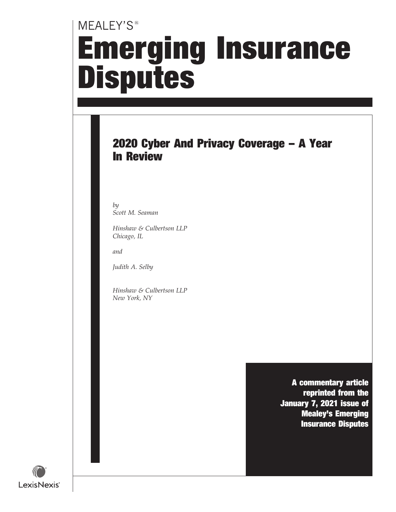# MEALEY'S<sup>®</sup> Emerging Insurance **Disputes**

### 2020 Cyber And Privacy Coverage – A Year In Review

by Scott M. Seaman

Hinshaw & Culbertson LLP Chicago, IL

and

Judith A. Selby

Hinshaw & Culbertson LLP New York, NY

> A commentary article reprinted from the January 7, 2021 issue of Mealey's Emerging Insurance Disputes

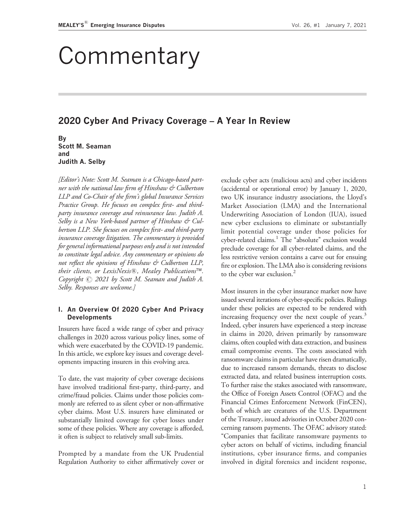## Commentary

#### 2020 Cyber And Privacy Coverage – A Year In Review

By Scott M. Seaman and Judith A. Selby

[Editor's Note: Scott M. Seaman is a Chicago-based partner with the national law firm of Hinshaw & Culbertson LLP and Co-Chair of the firm's global Insurance Services Practice Group. He focuses on complex first- and thirdparty insurance coverage and reinsurance law. Judith A. Selby is a New York-based partner of Hinshaw & Culbertson LLP. She focuses on complex first- and third-party insurance coverage litigation. The commentary is provided for general informational purposes only and is not intended to constitute legal advice. Any commentary or opinions do not reflect the opinions of Hinshaw & Culbertson LLP, their clients, or LexisNexis®, Mealey Publications™. Copyright  $\odot$  2021 by Scott M. Seaman and Judith A. Selby. Responses are welcome.]

#### I. An Overview Of 2020 Cyber And Privacy **Developments**

Insurers have faced a wide range of cyber and privacy challenges in 2020 across various policy lines, some of which were exacerbated by the COVID-19 pandemic. In this article, we explore key issues and coverage developments impacting insurers in this evolving area.

To date, the vast majority of cyber coverage decisions have involved traditional first-party, third-party, and crime/fraud policies. Claims under those policies commonly are referred to as silent cyber or non-affirmative cyber claims. Most U.S. insurers have eliminated or substantially limited coverage for cyber losses under some of these policies. Where any coverage is afforded, it often is subject to relatively small sub-limits.

Prompted by a mandate from the UK Prudential Regulation Authority to either affirmatively cover or exclude cyber acts (malicious acts) and cyber incidents (accidental or operational error) by January 1, 2020, two UK insurance industry associations, the Lloyd's Market Association (LMA) and the International Underwriting Association of London (IUA), issued new cyber exclusions to eliminate or substantially limit potential coverage under those policies for cyber-related claims.<sup>1</sup> The "absolute" exclusion would preclude coverage for all cyber-related claims, and the less restrictive version contains a carve out for ensuing fire or explosion. The LMA also is considering revisions to the cyber war exclusion.<sup>2</sup>

Most insurers in the cyber insurance market now have issued several iterations of cyber-specific policies. Rulings under these policies are expected to be rendered with increasing frequency over the next couple of years.<sup>3</sup> Indeed, cyber insurers have experienced a steep increase in claims in 2020, driven primarily by ransomware claims, often coupled with data extraction, and business email compromise events. The costs associated with ransomware claims in particular have risen dramatically, due to increased ransom demands, threats to disclose extracted data, and related business interruption costs. To further raise the stakes associated with ransomware, the Office of Foreign Assets Control (OFAC) and the Financial Crimes Enforcement Network (FinCEN), both of which are creatures of the U.S. Department of the Treasury, issued advisories in October 2020 concerning ransom payments. The OFAC advisory stated: ''Companies that facilitate ransomware payments to cyber actors on behalf of victims, including financial institutions, cyber insurance firms, and companies involved in digital forensics and incident response,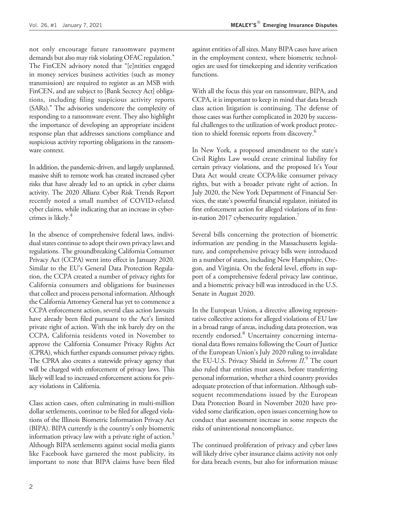not only encourage future ransomware payment demands but also may risk violating OFAC regulation.'' The FinCEN advisory noted that ''[e]ntities engaged in money services business activities (such as money transmission) are required to register as an MSB with FinCEN, and are subject to [Bank Secrecy Act] obligations, including filing suspicious activity reports (SARs).'' The advisories underscore the complexity of responding to a ransomware event. They also highlight the importance of developing an appropriate incident response plan that addresses sanctions compliance and suspicious activity reporting obligations in the ransomware context.

In addition, the pandemic-driven, and largely unplanned, massive shift to remote work has created increased cyber risks that have already led to an uptick in cyber claims activity. The 2020 Allianz Cyber Risk Trends Report recently noted a small number of COVID-related cyber claims, while indicating that an increase in cybercrimes is likely.<sup>4</sup>

In the absence of comprehensive federal laws, individual states continue to adopt their own privacy laws and regulations. The groundbreaking California Consumer Privacy Act (CCPA) went into effect in January 2020. Similar to the EU's General Data Protection Regulation, the CCPA created a number of privacy rights for California consumers and obligations for businesses that collect and process personal information. Although the California Attorney General has yet to commence a CCPA enforcement action, several class action lawsuits have already been filed pursuant to the Act's limited private right of action. With the ink barely dry on the CCPA, California residents voted in November to approve the California Consumer Privacy Rights Act (CPRA), which further expands consumer privacy rights. The CPRA also creates a statewide privacy agency that will be charged with enforcement of privacy laws. This likely will lead to increased enforcement actions for privacy violations in California.

Class action cases, often culminating in multi-million dollar settlements, continue to be filed for alleged violations of the Illinois Biometric Information Privacy Act (BIPA). BIPA currently is the country's only biometric information privacy law with a private right of action.<sup>5</sup> Although BIPA settlements against social media giants like Facebook have garnered the most publicity, its important to note that BIPA claims have been filed

against entities of all sizes. Many BIPA cases have arisen in the employment context, where biometric technologies are used for timekeeping and identity verification functions.

With all the focus this year on ransomware, BIPA, and CCPA, it is important to keep in mind that data breach class action litigation is continuing. The defense of those cases was further complicated in 2020 by successful challenges to the utilization of work product protection to shield forensic reports from discovery.<sup>6</sup>

In New York, a proposed amendment to the state's Civil Rights Law would create criminal liability for certain privacy violations, and the proposed It's Your Data Act would create CCPA-like consumer privacy rights, but with a broader private right of action. In July 2020, the New York Department of Financial Services, the state's powerful financial regulator, initiated its first enforcement action for alleged violations of its firstin-nation 2017 cybersecurity regulation.

Several bills concerning the protection of biometric information are pending in the Massachusetts legislature, and comprehensive privacy bills were introduced in a number of states, including New Hampshire, Oregon, and Virginia. On the federal level, efforts in support of a comprehensive federal privacy law continue, and a biometric privacy bill was introduced in the U.S. Senate in August 2020.

In the European Union, a directive allowing representative collective actions for alleged violations of EU law in a broad range of areas, including data protection, was recently endorsed.<sup>8</sup> Uncertainty concerning international data flows remains following the Court of Justice of the European Union's July 2020 ruling to invalidate the EU-U.S. Privacy Shield in Schrems II.<sup>9</sup> The court also ruled that entities must assess, before transferring personal information, whether a third country provides adequate protection of that information. Although subsequent recommendations issued by the European Data Protection Board in November 2020 have provided some clarification, open issues concerning how to conduct that assessment increase in some respects the risks of unintentional noncompliance.

The continued proliferation of privacy and cyber laws will likely drive cyber insurance claims activity not only for data breach events, but also for information misuse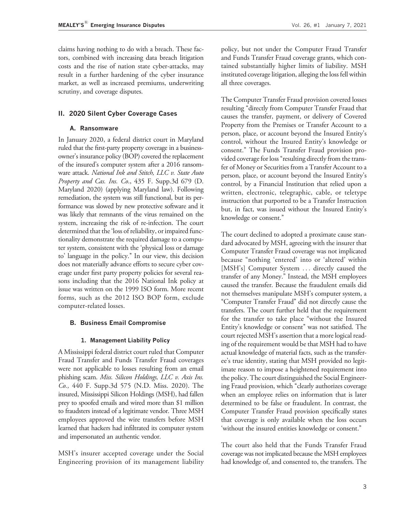claims having nothing to do with a breach. These factors, combined with increasing data breach litigation costs and the rise of nation state cyber-attacks, may result in a further hardening of the cyber insurance market, as well as increased premiums, underwriting scrutiny, and coverage disputes.

#### II. 2020 Silent Cyber Coverage Cases

#### A. Ransomware

In January 2020, a federal district court in Maryland ruled that the first-party property coverage in a businessowner's insurance policy (BOP) covered the replacement of the insured's computer system after a 2016 ransomware attack. National Ink and Stitch, LLC v. State Auto Property and Cas. Ins. Co., 435 F. Supp.3d 679 (D. Maryland 2020) (applying Maryland law). Following remediation, the system was still functional, but its performance was slowed by new protective software and it was likely that remnants of the virus remained on the system, increasing the risk of re-infection. The court determined that the 'loss of reliability, or impaired functionality demonstrate the required damage to a computer system, consistent with the 'physical loss or damage to' language in the policy.'' In our view, this decision does not materially advance efforts to secure cyber coverage under first party property policies for several reasons including that the 2016 National Ink policy at issue was written on the 1999 ISO form. More recent forms, such as the 2012 ISO BOP form, exclude computer-related losses.

#### B. Business Email Compromise

#### 1. Management Liability Policy

A Mississippi federal district court ruled that Computer Fraud Transfer and Funds Transfer Fraud coverages were not applicable to losses resulting from an email phishing scam. Miss. Silicon Holdings, LLC v. Axis Ins. Co., 440 F. Supp.3d 575 (N.D. Miss. 2020). The insured, Mississippi Silicon Holdings (MSH), had fallen prey to spoofed emails and wired more than \$1 million to fraudsters instead of a legitimate vendor. Three MSH employees approved the wire transfers before MSH learned that hackers had infiltrated its computer system and impersonated an authentic vendor.

MSH's insurer accepted coverage under the Social Engineering provision of its management liability The Computer Transfer Fraud provision covered losses resulting ''directly from Computer Transfer Fraud that causes the transfer, payment, or delivery of Covered Property from the Premises or Transfer Account to a person, place, or account beyond the Insured Entity's control, without the Insured Entity's knowledge or consent.'' The Funds Transfer Fraud provision provided coverage for loss "resulting directly from the transfer of Money or Securities from a Transfer Account to a person, place, or account beyond the Insured Entity's control, by a Financial Institution that relied upon a written, electronic, telegraphic, cable, or teletype instruction that purported to be a Transfer Instruction but, in fact, was issued without the Insured Entity's knowledge or consent.''

The court declined to adopted a proximate cause standard advocated by MSH, agreeing with the insurer that Computer Transfer Fraud coverage was not implicated because "nothing 'entered' into or 'altered' within [MSH's] Computer System ... directly caused the transfer of any Money.'' Instead, the MSH employees caused the transfer. Because the fraudulent emails did not themselves manipulate MSH's computer system, a ''Computer Transfer Fraud'' did not directly cause the transfers. The court further held that the requirement for the transfer to take place ''without the Insured Entity's knowledge or consent'' was not satisfied. The court rejected MSH's assertion that a more logical reading of the requirement would be that MSH had to have actual knowledge of material facts, such as the transferee's true identity, stating that MSH provided no legitimate reason to impose a heightened requirement into the policy. The court distinguished the Social Engineering Fraud provision, which "clearly authorizes coverage when an employee relies on information that is later determined to be false or fraudulent. In contrast, the Computer Transfer Fraud provision specifically states that coverage is only available when the loss occurs 'without the insured entities knowledge or consent.''

The court also held that the Funds Transfer Fraud coverage was not implicated because the MSH employees had knowledge of, and consented to, the transfers. The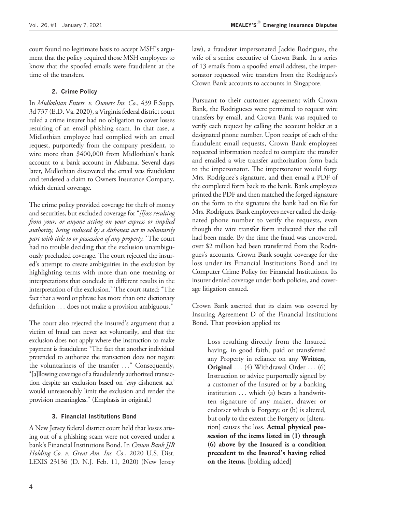court found no legitimate basis to accept MSH's argument that the policy required those MSH employees to know that the spoofed emails were fraudulent at the time of the transfers.

#### 2. Crime Policy

In Midlothian Enters. v. Owners Ins. Co., 439 F.Supp. 3d 737 (E.D. Va. 2020), a Virginia federal district court ruled a crime insurer had no obligation to cover losses resulting of an email phishing scam. In that case, a Midlothian employee had complied with an email request, purportedly from the company president, to wire more than \$400,000 from Midlothian's bank account to a bank account in Alabama. Several days later, Midlothian discovered the email was fraudulent and tendered a claim to Owners Insurance Company, which denied coverage.

The crime policy provided coverage for theft of money and securities, but excluded coverage for "[l]oss resulting from your, or anyone acting on your express or implied authority, being induced by a dishonest act to voluntarily part with title to or possession of any property." The court had no trouble deciding that the exclusion unambiguously precluded coverage. The court rejected the insured's attempt to create ambiguities in the exclusion by highlighting terms with more than one meaning or interpretations that conclude in different results in the interpretation of the exclusion.'' The court stated: ''The fact that a word or phrase has more than one dictionary definition ... does not make a provision ambiguous.''

The court also rejected the insured's argument that a victim of fraud can never act voluntarily, and that the exclusion does not apply where the instruction to make payment is fraudulent: "The fact that another individual pretended to authorize the transaction does not negate the voluntariness of the transfer ...'' Consequently, ''[a]llowing coverage of a fraudulently authorized transaction despite an exclusion based on 'any dishonest act' would unreasonably limit the exclusion and render the provision meaningless.'' (Emphasis in original.)

#### 3. Financial Institutions Bond

A New Jersey federal district court held that losses arising out of a phishing scam were not covered under a bank's Financial Institutions Bond. In Crown Bank JJR Holding Co. v. Great Am. Ins. Co., 2020 U.S. Dist. LEXIS 23136 (D. N.J. Feb. 11, 2020) (New Jersey

law), a fraudster impersonated Jackie Rodrigues, the wife of a senior executive of Crown Bank. In a series of 13 emails from a spoofed email address, the impersonator requested wire transfers from the Rodrigues's Crown Bank accounts to accounts in Singapore.

Pursuant to their customer agreement with Crown Bank, the Rodrigueses were permitted to request wire transfers by email, and Crown Bank was required to verify each request by calling the account holder at a designated phone number. Upon receipt of each of the fraudulent email requests, Crown Bank employees requested information needed to complete the transfer and emailed a wire transfer authorization form back to the impersonator. The impersonator would forge Mrs. Rodriguez's signature, and then email a PDF of the completed form back to the bank. Bank employees printed the PDF and then matched the forged signature on the form to the signature the bank had on file for Mrs. Rodrigues. Bank employees never called the designated phone number to verify the requests, even though the wire transfer form indicated that the call had been made. By the time the fraud was uncovered, over \$2 million had been transferred from the Rodrigues's accounts. Crown Bank sought coverage for the loss under its Financial Institutions Bond and its Computer Crime Policy for Financial Institutions. Its insurer denied coverage under both policies, and coverage litigation ensued.

Crown Bank asserted that its claim was covered by Insuring Agreement D of the Financial Institutions Bond. That provision applied to:

Loss resulting directly from the Insured having, in good faith, paid or transferred any Property in reliance on any Written, Original ... (4) Withdrawal Order ... (6) Instruction or advice purportedly signed by a customer of the Insured or by a banking institution ... which (a) bears a handwritten signature of any maker, drawer or endorser which is Forgery; or (b) is altered, but only to the extent the Forgery or [alteration] causes the loss. Actual physical possession of the items listed in (1) through (6) above by the Insured is a condition precedent to the Insured's having relied on the items. [bolding added]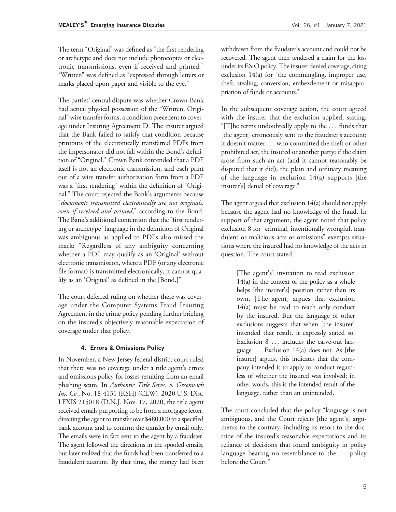The term "Original" was defined as "the first rendering or archetype and does not include photocopies or electronic transmissions, even if received and printed.'' ''Written'' was defined as ''expressed through letters or marks placed upon paper and visible to the eye."

The parties' central dispute was whether Crown Bank had actual physical possession of the "Written, Original'' wire transfer forms, a condition precedent to coverage under Insuring Agreement D. The insurer argued that the Bank failed to satisfy that condition because printouts of the electronically transferred PDFs from the impersonator did not fall within the Bond's definition of "Original." Crown Bank contended that a PDF itself is not an electronic transmission, and each print out of a wire transfer authorization form from a PDF was a "first rendering" within the definition of "Original.'' The court rejected the Bank's arguments because ''documents transmitted electronically are not originals, even if received and printed," according to the Bond. The Bank's additional contention that the "first rendering or archetype'' language in the definition of Original was ambiguous as applied to PDFs also missed the mark: "Regardless of any ambiguity concerning whether a PDF may qualify as an 'Original' without electronic transmission, where a PDF (or any electronic file format) is transmitted electronically, it cannot qualify as an 'Original' as defined in the [Bond.]''

The court deferred ruling on whether there was coverage under the Computer Systems Fraud Insuring Agreement in the crime policy pending further briefing on the insured's objectively reasonable expectation of coverage under that policy.

#### 4. Errors & Omissions Policy

In November, a New Jersey federal district court ruled that there was no coverage under a title agent's errors and omissions policy for losses resulting from an email phishing scam. In Authentic Title Servs. v. Greenwich Ins. Co., No. 18-4131 (KSH) (CLW), 2020 U.S. Dist. LEXIS 215018 (D.N.J. Nov. 17, 2020, the title agent received emails purporting to be from a mortgage letter, directing the agent to transfer over \$480,000 to a specified bank account and to confirm the transfer by email only. The emails were in fact sent to the agent by a fraudster. The agent followed the directions in the spoofed emails, but later realized that the funds had been transferred to a fraudulent account. By that time, the money had been

withdrawn from the fraudster's account and could not be recovered. The agent then tendered a claim for the loss under its E&O policy. The insurer denied coverage, citing exclusion  $14(a)$  for "the commingling, improper use, theft, stealing, conversion, embezzlement or misappropriation of funds or accounts.''

In the subsequent coverage action, the court agreed with the insurer that the exclusion applied, stating:  $T$ ]he terms undoubtedly apply to the  $\ldots$  funds that [the agent] erroneously sent to the fraudster's account; it doesn't matter ... who committed the theft or other prohibited act, the insured or another party; if the claim arose from such an act (and it cannot reasonably be disputed that it did), the plain and ordinary meaning of the language in exclusion 14(a) supports [the insurer's] denial of coverage.''

The agent argued that exclusion 14(a) should not apply because the agent had no knowledge of the fraud. In support of that argument, the agent noted that policy exclusion 8 for "criminal, intentionally wrongful, fraudulent or malicious acts or omissions" exempts situations where the insured had no knowledge of the acts in question. The court stated:

> [The agent's] invitation to read exclusion 14(a) in the context of the policy as a whole helps [the insurer's] position rather than its own. [The agent] argues that exclusion 14(a) must be read to reach only conduct by the insured. But the language of other exclusions suggests that when [the insurer] intended that result, it expressly stated so. Exclusion 8 ... includes the carve-out language ... Exclusion 14(a) does not. As [the insurer] argues, this indicates that the company intended it to apply to conduct regardless of whether the insured was involved; in other words, this is the intended result of the language, rather than an unintended.

The court concluded that the policy ''language is not ambiguous, and the Court rejects [the agent's] arguments to the contrary, including its resort to the doctrine of the insured's reasonable expectations and its reliance of decisions that found ambiguity in policy language bearing no resemblance to the ... policy before the Court.''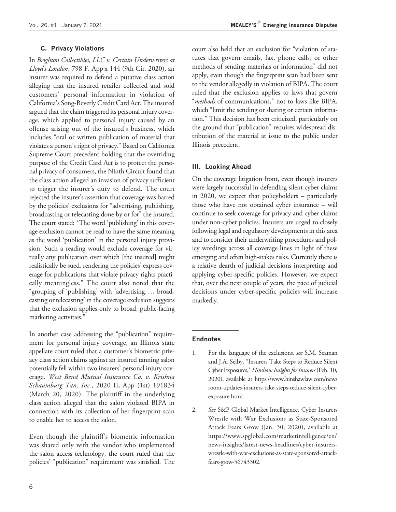#### C. Privacy Violations

In Brighton Collectibles, LLC v. Certain Underwriters at Lloyd's London, 798 F. App'x 144 (9th Cir. 2020), an insurer was required to defend a putative class action alleging that the insured retailer collected and sold customers' personal information in violation of California's Song-Beverly Credit Card Act. The insured argued that the claim triggered its personal injury coverage, which applied to personal injury caused by an offense arising out of the insured's business, which includes ''oral or written publication of material that violates a person's right of privacy.'' Based on California Supreme Court precedent holding that the overriding purpose of the Credit Card Act is to protect the personal privacy of consumers, the Ninth Circuit found that the class action alleged an invasion of privacy sufficient to trigger the insurer's duty to defend. The court rejected the insurer's assertion that coverage was barred by the policies' exclusions for ''advertising, publishing, broadcasting or telecasting done by or for'' the insured. The court stated: "The word 'publishing' in this coverage exclusion cannot be read to have the same meaning as the word 'publication' in the personal injury provision. Such a reading would exclude coverage for virtually any publication over which [the insured] might realistically be sued, rendering the policies' express coverage for publications that violate privacy rights practically meaningless.'' The court also noted that the "grouping of 'publishing' with 'advertising..., broadcasting or telecasting' in the coverage exclusion suggests that the exclusion applies only to broad, public-facing marketing activities.''

In another case addressing the "publication" requirement for personal injury coverage, an Illinois state appellate court ruled that a customer's biometric privacy class action claims against an insured tanning salon potentially fell within two insurers' personal injury coverage. West Bend Mutual Insurance Co. v. Krishna Schaumburg Tan, Inc., 2020 IL App (1st) 191834 (March 20, 2020). The plaintiff in the underlying class action alleged that the salon violated BIPA in connection with its collection of her fingerprint scan to enable her to access the salon.

Even though the plaintiff's biometric information was shared only with the vendor who implemented the salon access technology, the court ruled that the policies' "publication" requirement was satisfied. The court also held that an exclusion for ''violation of statutes that govern emails, fax, phone calls, or other methods of sending materials or information'' did not apply, even though the fingerprint scan had been sent to the vendor allegedly in violation of BIPA. The court ruled that the exclusion applies to laws that govern "methods of communications," not to laws like BIPA, which "limit the sending or sharing or certain information.'' This decision has been criticized, particularly on the ground that "publication" requires widespread distribution of the material at issue to the public under Illinois precedent.

#### III. Looking Ahead

On the coverage litigation front, even though insurers were largely successful in defending silent cyber claims in 2020, we expect that policyholders – particularly those who have not obtained cyber insurance – will continue to seek coverage for privacy and cyber claims under non-cyber policies. Insurers are urged to closely following legal and regulatory developments in this area and to consider their underwriting procedures and policy wordings across all coverage lines in light of these emerging and often high-stakes risks. Currently there is a relative dearth of judicial decisions interpreting and applying cyber-specific policies. However, we expect that, over the next couple of years, the pace of judicial decisions under cyber-specific policies will increase markedly.

#### Endnotes

- 1. For the language of the exclusions, see S.M. Seaman and J.A. Selby, ''Insurers Take Steps to Reduce Silent Cyber Exposures," Hinshaw Insights for Insurers (Feb. 10, 2020), available at [https://www.hinshawlaw.com/news](https://www.hinshawlaw.com/newsroom-updates-insurers-take-steps-reduce-silent-cyber-exposure.html) [room-updates-insurers-take-steps-reduce-silent-cyber](https://www.hinshawlaw.com/newsroom-updates-insurers-take-steps-reduce-silent-cyber-exposure.html)[exposure.html](https://www.hinshawlaw.com/newsroom-updates-insurers-take-steps-reduce-silent-cyber-exposure.html).
- 2. See S&P Global Market Intelligence, Cyber Insurers Wrestle with War Exclusions as State-Sponsored Attack Fears Grow (Jan. 30, 2020), available at [https://www.spglobal.com/marketintelligence/en/](https://www.spglobal.com/marketintelligence/en/news-insights/latest-news-headlines/cyber-insurers-wrestle-with-war-exclusions-as-state-sponsored-attack-fears-grow-56743302) [news-insights/latest-news-headlines/cyber-insurers](https://www.spglobal.com/marketintelligence/en/news-insights/latest-news-headlines/cyber-insurers-wrestle-with-war-exclusions-as-state-sponsored-attack-fears-grow-56743302)[wrestle-with-war-exclusions-as-state-sponsored-attack](https://www.spglobal.com/marketintelligence/en/news-insights/latest-news-headlines/cyber-insurers-wrestle-with-war-exclusions-as-state-sponsored-attack-fears-grow-56743302)[fears-grow-56743302.](https://www.spglobal.com/marketintelligence/en/news-insights/latest-news-headlines/cyber-insurers-wrestle-with-war-exclusions-as-state-sponsored-attack-fears-grow-56743302)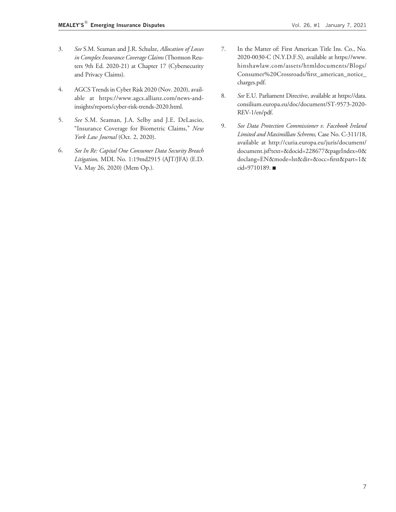- 3. See S.M. Seaman and J.R. Schulze, Allocation of Losses in Complex Insurance Coverage Claims (Thomson Reuters 9th Ed. 2020-21) at Chapter 17 (Cybersecurity and Privacy Claims).
- 4. AGCS Trends in Cyber Risk 2020 (Nov. 2020), available at [https://www.agcs.allianz.com/news-and](https://www.agcs.allianz.com/news-and-insights/reports/cyber-risk-trends-2020.html)[insights/reports/cyber-risk-trends-2020.html.](https://www.agcs.allianz.com/news-and-insights/reports/cyber-risk-trends-2020.html)
- 5. See S.M. Seaman, J.A. Selby and J.E. DeLascio, ''Insurance Coverage for Biometric Claims,'' New York Law Journal (Oct. 2, 2020).
- 6. See In Re: Capital One Consumer Data Security Breach Litigation, MDL No. 1:19md2915 (AJT/JFA) (E.D. Va. May 26, 2020) (Mem Op.).
- 7. In the Matter of: First American Title Ins. Co., No. 2020-0030-C (N.Y.D.F.S), available at [https://www.](https://www.hinshawlaw.com/assets/htmldocuments/Blogs/Consumer%20Crossroads/first_american_notice_charges.pdf) [hinshawlaw.com/assets/htmldocuments/Blogs/](https://www.hinshawlaw.com/assets/htmldocuments/Blogs/Consumer%20Crossroads/first_american_notice_charges.pdf) [Consumer%20Crossroads/first\\_american\\_notice\\_](https://www.hinshawlaw.com/assets/htmldocuments/Blogs/Consumer%20Crossroads/first_american_notice_charges.pdf) [charges.pdf](https://www.hinshawlaw.com/assets/htmldocuments/Blogs/Consumer%20Crossroads/first_american_notice_charges.pdf).
- 8. See E.U. Parliament Directive, available at [https://data.](https://data.consilium.europa.eu/doc/document/ST-9573-2020-REV-1/en/pdf) [consilium.europa.eu/doc/document/ST-9573-2020-](https://data.consilium.europa.eu/doc/document/ST-9573-2020-REV-1/en/pdf) [REV-1/en/pdf](https://data.consilium.europa.eu/doc/document/ST-9573-2020-REV-1/en/pdf).
- 9. See Data Protection Commissioner v. Facebook Ireland Limited and Maximillian Schrems, Case No. C-311/18, available at [http://curia.europa.eu/juris/document/](http://curia.europa.eu/juris/document/document.jsf?text=&docid=228677&pageIndex=0&doclang=EN&mode=lst&dir=&occ=first&part=1&cid=9710189) [document.jsf?text=&docid=228677&pageIndex=0&](http://curia.europa.eu/juris/document/document.jsf?text=&docid=228677&pageIndex=0&doclang=EN&mode=lst&dir=&occ=first&part=1&cid=9710189) [doclang=EN&mode=lst&dir=&occ=first&part=1&](http://curia.europa.eu/juris/document/document.jsf?text=&docid=228677&pageIndex=0&doclang=EN&mode=lst&dir=&occ=first&part=1&cid=9710189) [cid=9710189](http://curia.europa.eu/juris/document/document.jsf?text=&docid=228677&pageIndex=0&doclang=EN&mode=lst&dir=&occ=first&part=1&cid=9710189). ■